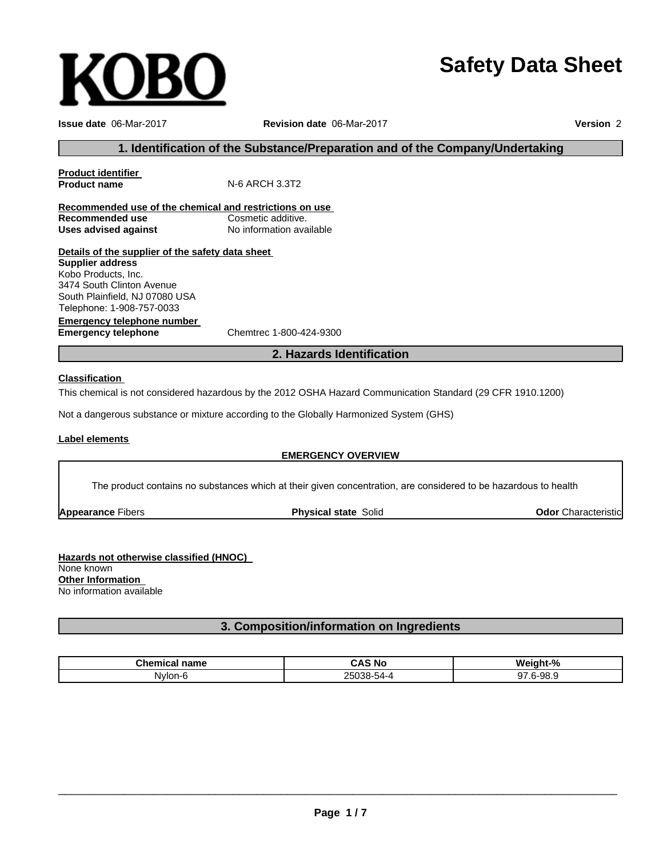# **Safety Data Sheet**

**Product identifier**

**Issue date** 06-Mar-2017 **Revision date** 06-Mar-2017 **Version** 2

# **1. Identification of the Substance/Preparation and of the Company/Undertaking**

**Recommended use of the chemical and restrictions on use Recommended use** Cosmetic additive. **Uses advised against** No information available

# **Details of the supplier of the safety data sheet**

Telephone: 1-908-757-0033 **Supplier address** Kobo Products, Inc. 3474 South Clinton Avenue South Plainfield, NJ 07080 USA

**Emergency telephone number Emergency telephone** Chemtrec 1-800-424-9300

**2. Hazards Identification**

## **Classification**

This chemical is not considered hazardous by the 2012 OSHA Hazard Communication Standard (29 CFR 1910.1200)

Not a dangerous substance or mixture according to the Globally Harmonized System (GHS)

**N-6 ARCH 3.3T2** 

#### **Label elements**

#### **EMERGENCY OVERVIEW**

The product contains no substances which at their given concentration, are considered to be hazardous to health

**Appearance** Fibers

**Physical state** Solid **Odor** Characteristic

**Hazards not otherwise classified (HNOC)** None known **Other Information** No information available

**3. Composition/information on Ingredients**

| <b>Chemical</b><br>name | ີ AS No<br>$\cdots$                                      | Weight-%  |
|-------------------------|----------------------------------------------------------|-----------|
| Nvlon-6                 | $\overline{\phantom{0}}$<br>OF.<br>25038-54-4<br>$\cdot$ | $.6-98.9$ |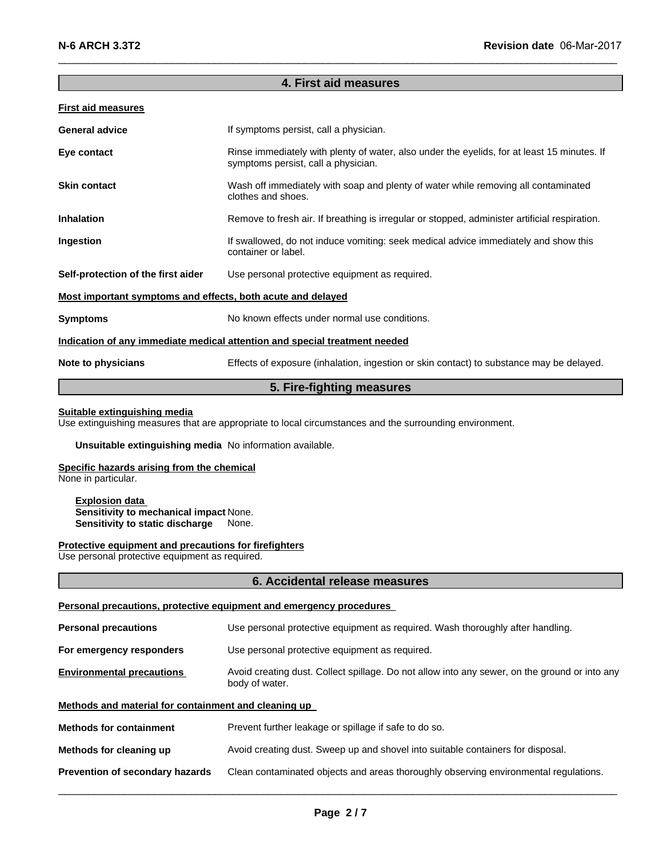# **4. First aid measures**

 $\_$  , and the set of the set of the set of the set of the set of the set of the set of the set of the set of the set of the set of the set of the set of the set of the set of the set of the set of the set of the set of th

## **First aid measures**

| <b>General advice</b>                                                      | If symptoms persist, call a physician.                                                                                             |  |  |
|----------------------------------------------------------------------------|------------------------------------------------------------------------------------------------------------------------------------|--|--|
| Eye contact                                                                | Rinse immediately with plenty of water, also under the eyelids, for at least 15 minutes. If<br>symptoms persist, call a physician. |  |  |
| <b>Skin contact</b>                                                        | Wash off immediately with soap and plenty of water while removing all contaminated<br>clothes and shoes.                           |  |  |
| <b>Inhalation</b>                                                          | Remove to fresh air. If breathing is irregular or stopped, administer artificial respiration.                                      |  |  |
| Ingestion                                                                  | If swallowed, do not induce vomiting: seek medical advice immediately and show this<br>container or label.                         |  |  |
| Self-protection of the first aider                                         | Use personal protective equipment as required.                                                                                     |  |  |
| Most important symptoms and effects, both acute and delayed                |                                                                                                                                    |  |  |
| <b>Symptoms</b>                                                            | No known effects under normal use conditions.                                                                                      |  |  |
| Indication of any immediate medical attention and special treatment needed |                                                                                                                                    |  |  |
| Note to physicians                                                         | Effects of exposure (inhalation, ingestion or skin contact) to substance may be delayed.                                           |  |  |
|                                                                            |                                                                                                                                    |  |  |

# **5. Fire-fighting measures**

#### **Suitable extinguishing media**

Use extinguishing measures that are appropriate to local circumstances and the surrounding environment.

## **Unsuitable extinguishing media** No information available.

# **Specific hazards arising from the chemical**

None in particular.

#### **Explosion data Sensitivity to mechanical impact** None. **Sensitivity to static discharge** None.

#### **Protective equipment and precautions for firefighters**

Use personal protective equipment as required.

#### **6. Accidental release measures**

#### **Personal precautions, protective equipment and emergency procedures**

| <b>Personal precautions</b>                                                                                                                         | Use personal protective equipment as required. Wash thoroughly after handling.       |  |  |
|-----------------------------------------------------------------------------------------------------------------------------------------------------|--------------------------------------------------------------------------------------|--|--|
| For emergency responders                                                                                                                            | Use personal protective equipment as required.                                       |  |  |
| <b>Environmental precautions</b><br>Avoid creating dust. Collect spillage. Do not allow into any sewer, on the ground or into any<br>body of water. |                                                                                      |  |  |
| Methods and material for containment and cleaning up                                                                                                |                                                                                      |  |  |
| <b>Methods for containment</b>                                                                                                                      | Prevent further leakage or spillage if safe to do so.                                |  |  |
| Methods for cleaning up                                                                                                                             | Avoid creating dust. Sweep up and shovel into suitable containers for disposal.      |  |  |
| Prevention of secondary hazards                                                                                                                     | Clean contaminated objects and areas thoroughly observing environmental regulations. |  |  |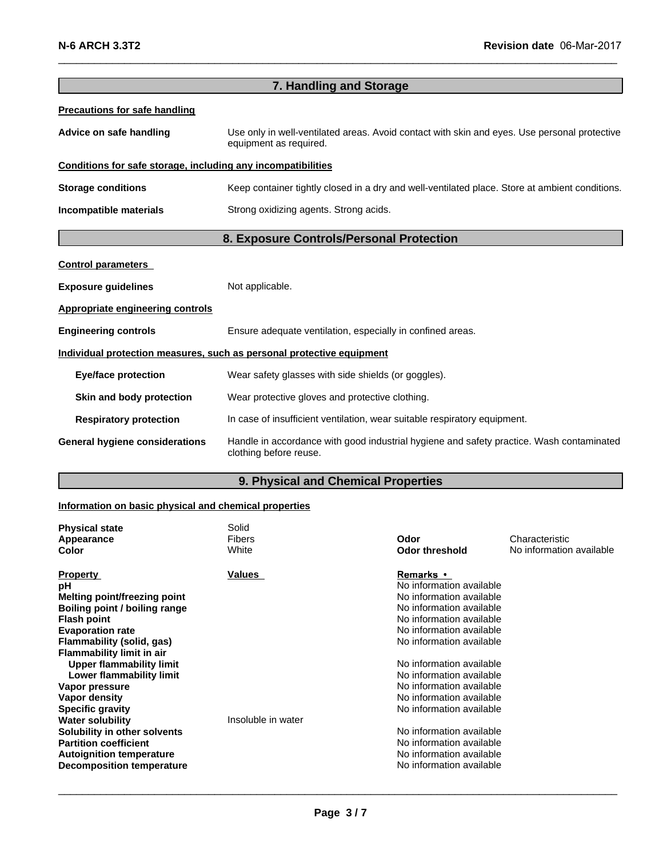| 7. Handling and Storage                                                                                                     |                                                                                                                        |  |  |
|-----------------------------------------------------------------------------------------------------------------------------|------------------------------------------------------------------------------------------------------------------------|--|--|
| <b>Precautions for safe handling</b>                                                                                        |                                                                                                                        |  |  |
| Advice on safe handling                                                                                                     | Use only in well-ventilated areas. Avoid contact with skin and eyes. Use personal protective<br>equipment as required. |  |  |
| Conditions for safe storage, including any incompatibilities                                                                |                                                                                                                        |  |  |
| <b>Storage conditions</b><br>Keep container tightly closed in a dry and well-ventilated place. Store at ambient conditions. |                                                                                                                        |  |  |
| Incompatible materials                                                                                                      | Strong oxidizing agents. Strong acids.                                                                                 |  |  |
| 8. Exposure Controls/Personal Protection                                                                                    |                                                                                                                        |  |  |
| <b>Control parameters</b>                                                                                                   |                                                                                                                        |  |  |
| <b>Exposure guidelines</b>                                                                                                  | Not applicable.                                                                                                        |  |  |
| <b>Appropriate engineering controls</b>                                                                                     |                                                                                                                        |  |  |
| <b>Engineering controls</b>                                                                                                 | Ensure adequate ventilation, especially in confined areas.                                                             |  |  |
|                                                                                                                             | Individual protection measures, such as personal protective equipment                                                  |  |  |
| <b>Eye/face protection</b>                                                                                                  | Wear safety glasses with side shields (or goggles).                                                                    |  |  |
| Skin and body protection                                                                                                    | Wear protective gloves and protective clothing.                                                                        |  |  |
| <b>Respiratory protection</b>                                                                                               | In case of insufficient ventilation, wear suitable respiratory equipment.                                              |  |  |
| <b>General hygiene considerations</b>                                                                                       | Handle in accordance with good industrial hygiene and safety practice. Wash contaminated<br>clothing before reuse.     |  |  |

 $\_$  , and the set of the set of the set of the set of the set of the set of the set of the set of the set of the set of the set of the set of the set of the set of the set of the set of the set of the set of the set of th

# **9. Physical and Chemical Properties 19. Physical and Chemical Properties**

# **Information on basic physical and chemical properties**

| <b>Physical state</b><br>Appearance<br><b>Color</b>                                                                                                                                                                                                              | Solid<br><b>Fibers</b><br>White | Odor<br><b>Odor threshold</b>                                                                                                                                                                                                                                                | Characteristic<br>No information available |
|------------------------------------------------------------------------------------------------------------------------------------------------------------------------------------------------------------------------------------------------------------------|---------------------------------|------------------------------------------------------------------------------------------------------------------------------------------------------------------------------------------------------------------------------------------------------------------------------|--------------------------------------------|
| <b>Property</b><br>рH<br>Melting point/freezing point<br>Boiling point / boiling range<br><b>Flash point</b><br><b>Evaporation rate</b><br>Flammability (solid, gas)<br><b>Flammability limit in air</b><br>Upper flammability limit<br>Lower flammability limit | Values                          | <b>Remarks</b> •<br>No information available<br>No information available<br>No information available<br>No information available<br>No information available<br>No information available<br>No information available<br>No information available<br>No information available |                                            |
| Vapor pressure<br>Vapor density<br><b>Specific gravity</b><br><b>Water solubility</b><br>Solubility in other solvents<br><b>Partition coefficient</b><br><b>Autoignition temperature</b><br><b>Decomposition temperature</b>                                     | Insoluble in water              | No information available<br>No information available<br>No information available<br>No information available<br>No information available<br>No information available                                                                                                         |                                            |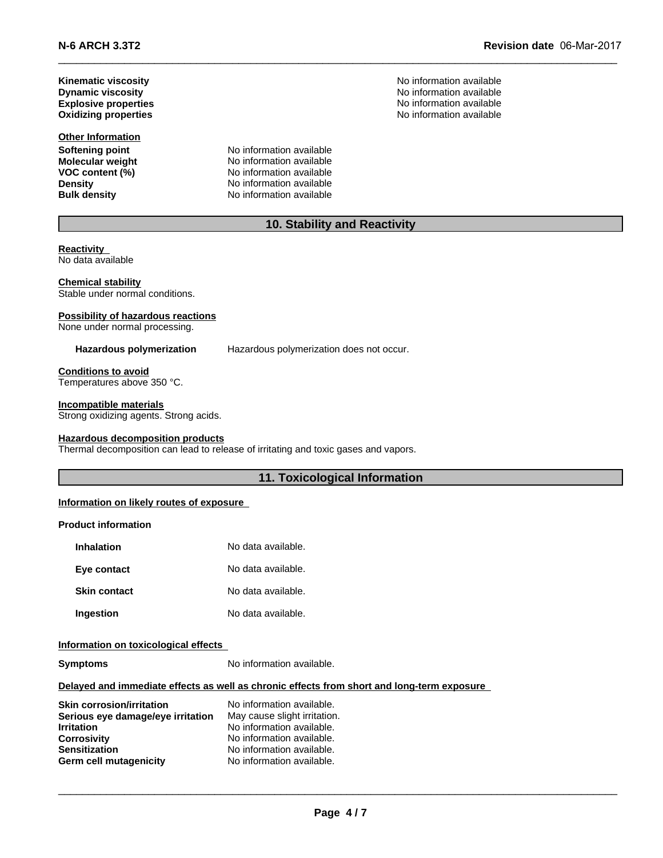**N-6 ARCH 3.3T2 Revision date** 06Mar2017

**Explosive properties**

**Other Information Molecular weight**<br>VOC content (%)

**Softening point**<br> **Molecular weight**<br> **Molecular weight**<br> **Molecular weight**<br> **Molecular weight VOC content (%)** No information available **Density** No information available **Bulk density** No information available

**Kinematic viscosity**<br> **Community** Dynamic viscosity<br> **Community** Dynamic viscosity<br>
No information available **Dynamic viscosity** No information available No information available **Oxidizing properties** No information available

# **10. Stability and Reactivity**

 $\_$  , and the set of the set of the set of the set of the set of the set of the set of the set of the set of the set of the set of the set of the set of the set of the set of the set of the set of the set of the set of th

**Reactivity** No data available

**Chemical stability** Stable under normal conditions.

#### **Possibility of hazardous reactions**

None under normal processing.

**Hazardous polymerization** Hazardous polymerization does not occur.

**Conditions to avoid** Temperatures above 350 °C.

#### **Incompatible materials**

Strong oxidizing agents. Strong acids.

#### **Hazardous decomposition products**

Thermal decomposition can lead to release of irritating and toxic gases and vapors.

# **11. Toxicological Information**

#### **Information on likely routes of exposure**

# **Product information**

| Inhalation          | No data available. |
|---------------------|--------------------|
| Eye contact         | No data available. |
| <b>Skin contact</b> | No data available. |
| Ingestion           | No data available. |

# **Information on toxicological effects**

**Symptoms** No information available.

#### **Delayed and immediate effects as well as chronic effects from short and long-term exposure**

| <b>Skin corrosion/irritation</b>  | No information available.    |
|-----------------------------------|------------------------------|
| Serious eye damage/eye irritation | May cause slight irritation. |
| <b>Irritation</b>                 | No information available.    |
| <b>Corrosivity</b>                | No information available.    |
| <b>Sensitization</b>              | No information available.    |
| <b>Germ cell mutagenicity</b>     | No information available.    |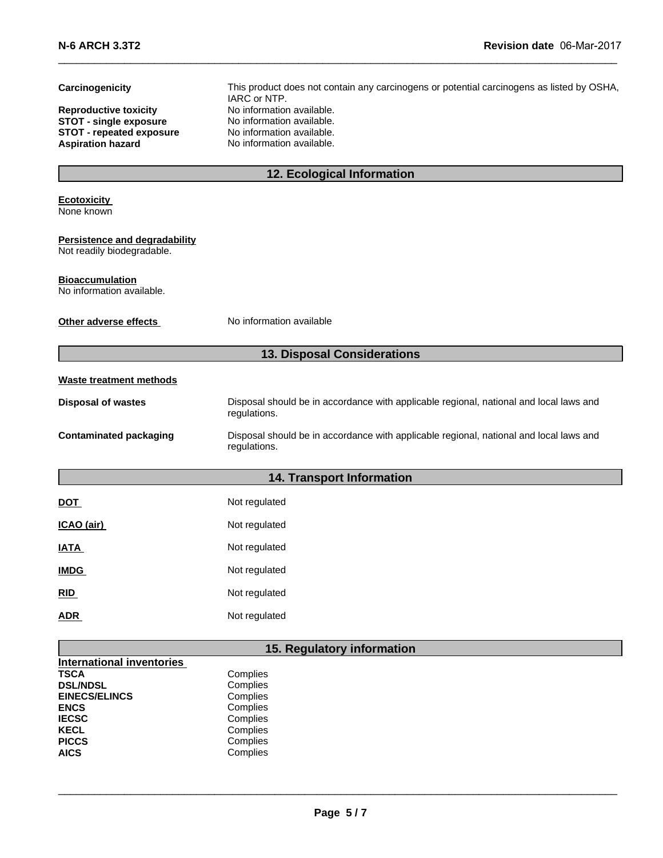| Carcinogenicity                                             | This product does not contain any carcinogens or potential carcinogens as listed by OSHA,<br>IARC or NTP. |  |  |  |
|-------------------------------------------------------------|-----------------------------------------------------------------------------------------------------------|--|--|--|
| <b>Reproductive toxicity</b>                                | No information available.                                                                                 |  |  |  |
| <b>STOT - single exposure</b>                               | No information available.                                                                                 |  |  |  |
| <b>STOT - repeated exposure</b><br><b>Aspiration hazard</b> | No information available.<br>No information available.                                                    |  |  |  |
|                                                             |                                                                                                           |  |  |  |
|                                                             | 12. Ecological Information                                                                                |  |  |  |
| <b>Ecotoxicity</b>                                          |                                                                                                           |  |  |  |
| None known                                                  |                                                                                                           |  |  |  |
| Persistence and degradability                               |                                                                                                           |  |  |  |
| Not readily biodegradable.                                  |                                                                                                           |  |  |  |
| <b>Bioaccumulation</b><br>No information available.         |                                                                                                           |  |  |  |
|                                                             |                                                                                                           |  |  |  |
| Other adverse effects                                       | No information available                                                                                  |  |  |  |
|                                                             |                                                                                                           |  |  |  |
|                                                             | 13. Disposal Considerations                                                                               |  |  |  |
| <b>Waste treatment methods</b>                              |                                                                                                           |  |  |  |
| <b>Disposal of wastes</b>                                   | Disposal should be in accordance with applicable regional, national and local laws and<br>regulations.    |  |  |  |
| <b>Contaminated packaging</b>                               | Disposal should be in accordance with applicable regional, national and local laws and<br>regulations.    |  |  |  |
|                                                             | <b>14. Transport Information</b>                                                                          |  |  |  |
|                                                             | Not regulated                                                                                             |  |  |  |
| <u>DOT</u>                                                  |                                                                                                           |  |  |  |
| ICAO (air)                                                  | Not regulated                                                                                             |  |  |  |
| <b>IATA</b>                                                 | Not regulated                                                                                             |  |  |  |
| <u>IMDG</u>                                                 | Not regulated                                                                                             |  |  |  |
| RID                                                         | Not regulated                                                                                             |  |  |  |
| <b>ADR</b>                                                  | Not regulated                                                                                             |  |  |  |
|                                                             |                                                                                                           |  |  |  |
| <b>International inventories</b>                            | 15. Regulatory information                                                                                |  |  |  |

 $\_$  , and the set of the set of the set of the set of the set of the set of the set of the set of the set of the set of the set of the set of the set of the set of the set of the set of the set of the set of the set of th

| TSCA                 | Complies |
|----------------------|----------|
| <b>DSL/NDSL</b>      | Complies |
| <b>EINECS/ELINCS</b> | Complies |
| <b>ENCS</b>          | Complies |
| IECSC                | Complies |
| KECL                 | Complies |
| <b>PICCS</b>         | Complies |
| AICS                 | Complies |
|                      |          |

 $\_$  ,  $\_$  ,  $\_$  ,  $\_$  ,  $\_$  ,  $\_$  ,  $\_$  ,  $\_$  ,  $\_$  ,  $\_$  ,  $\_$  ,  $\_$  ,  $\_$  ,  $\_$  ,  $\_$  ,  $\_$  ,  $\_$  ,  $\_$  ,  $\_$  ,  $\_$  ,  $\_$  ,  $\_$  ,  $\_$  ,  $\_$  ,  $\_$  ,  $\_$  ,  $\_$  ,  $\_$  ,  $\_$  ,  $\_$  ,  $\_$  ,  $\_$  ,  $\_$  ,  $\_$  ,  $\_$  ,  $\_$  ,  $\_$  ,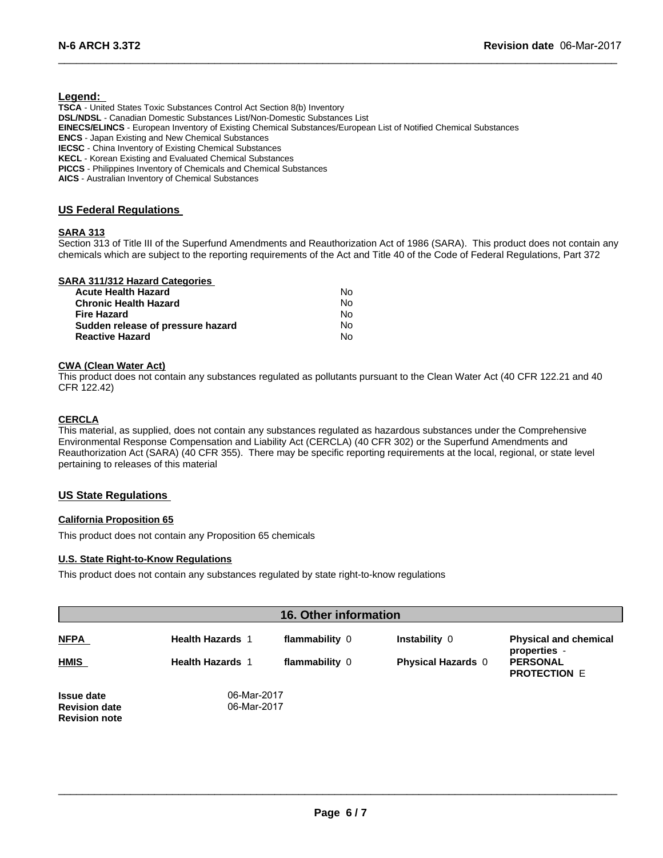## **Legend:**

**TSCA** - United States Toxic Substances Control Act Section 8(b) Inventory **DSL/NDSL** - Canadian Domestic Substances List/Non-Domestic Substances List **EINECS/ELINCS** - European Inventory of Existing Chemical Substances/European List of Notified Chemical Substances **ENCS** - Japan Existing and New Chemical Substances **IECSC** - China Inventory of Existing Chemical Substances **KECL** - Korean Existing and Evaluated Chemical Substances **PICCS** - Philippines Inventory of Chemicals and Chemical Substances **AICS** - Australian Inventory of Chemical Substances

## **US Federal Regulations**

## **SARA 313**

Section 313 of Title III of the Superfund Amendments and Reauthorization Act of 1986 (SARA). This product does not contain any chemicals which are subject to the reporting requirements of the Act and Title 40 of the Code of Federal Regulations, Part 372

 $\_$  , and the set of the set of the set of the set of the set of the set of the set of the set of the set of the set of the set of the set of the set of the set of the set of the set of the set of the set of the set of th

# **SARA 311/312 Hazard Categories**

| <b>Acute Health Hazard</b>        | No. |
|-----------------------------------|-----|
| <b>Chronic Health Hazard</b>      | Nο  |
| <b>Fire Hazard</b>                | Nο  |
| Sudden release of pressure hazard | Nο  |
| <b>Reactive Hazard</b>            | Nο  |

#### **CWA (Clean Water Act)**

This product does not contain any substances regulated as pollutants pursuant to the Clean Water Act (40 CFR 122.21 and 40 CFR 122.42)

## **CERCLA**

This material, as supplied, does not contain any substances regulated as hazardous substances under the Comprehensive Environmental Response Compensation and Liability Act (CERCLA) (40 CFR 302) or the Superfund Amendments and Reauthorization Act (SARA) (40 CFR 355). There may be specific reporting requirements at the local, regional, or state level pertaining to releases of this material

#### **US State Regulations**

#### **California Proposition 65**

This product does not contain any Proposition 65 chemicals

#### **U.S. State Right-to-Know Regulations**

This product does not contain any substances regulated by state right-to-know regulations

| 16. Other information                                             |                            |                |                           |                                              |
|-------------------------------------------------------------------|----------------------------|----------------|---------------------------|----------------------------------------------|
| <b>NFPA</b>                                                       | <b>Health Hazards 1</b>    | flammability 0 | <b>Instability 0</b>      | <b>Physical and chemical</b><br>properties - |
| <b>HMIS</b>                                                       | <b>Health Hazards 1</b>    | flammability 0 | <b>Physical Hazards 0</b> | <b>PERSONAL</b><br><b>PROTECTION E</b>       |
| <b>Issue date</b><br><b>Revision date</b><br><b>Revision note</b> | 06-Mar-2017<br>06-Mar-2017 |                |                           |                                              |